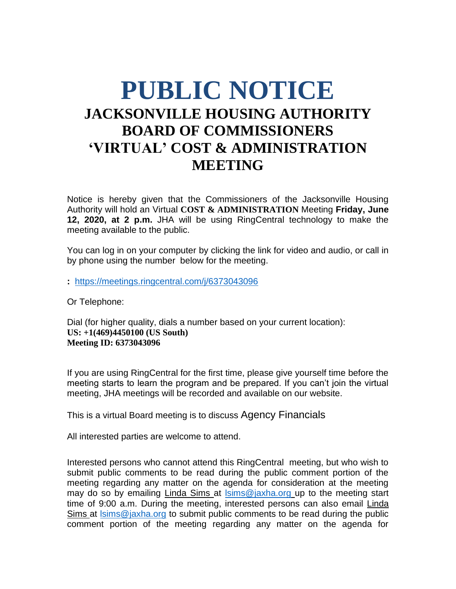## **PUBLIC NOTICE JACKSONVILLE HOUSING AUTHORITY BOARD OF COMMISSIONERS 'VIRTUAL' COST & ADMINISTRATION MEETING**

Notice is hereby given that the Commissioners of the Jacksonville Housing Authority will hold an Virtual **COST & ADMINISTRATION** Meeting **Friday, June 12, 2020, at 2 p.m.** JHA will be using RingCentral technology to make the meeting available to the public.

You can log in on your computer by clicking the link for video and audio, or call in by phone using the number below for the meeting.

**:** <https://meetings.ringcentral.com/j/6373043096>

Or Telephone:

Dial (for higher quality, dials a number based on your current location): **US: +1(469)4450100 (US South) Meeting ID: 6373043096**

If you are using RingCentral for the first time, please give yourself time before the meeting starts to learn the program and be prepared. If you can't join the virtual meeting, JHA meetings will be recorded and available on our website.

This is a virtual Board meeting is to discuss Agency Financials

All interested parties are welcome to attend.

Interested persons who cannot attend this RingCentral meeting, but who wish to submit public comments to be read during the public comment portion of the meeting regarding any matter on the agenda for consideration at the meeting may do so by emailing Linda Sims at [lsims@jaxha.org](mailto:lsims@jaxha.org) up to the meeting start time of 9:00 a.m. During the meeting, interested persons can also email Linda Sims at [lsims@jaxha.org](mailto:lsims@jaxha.org) to submit public comments to be read during the public comment portion of the meeting regarding any matter on the agenda for